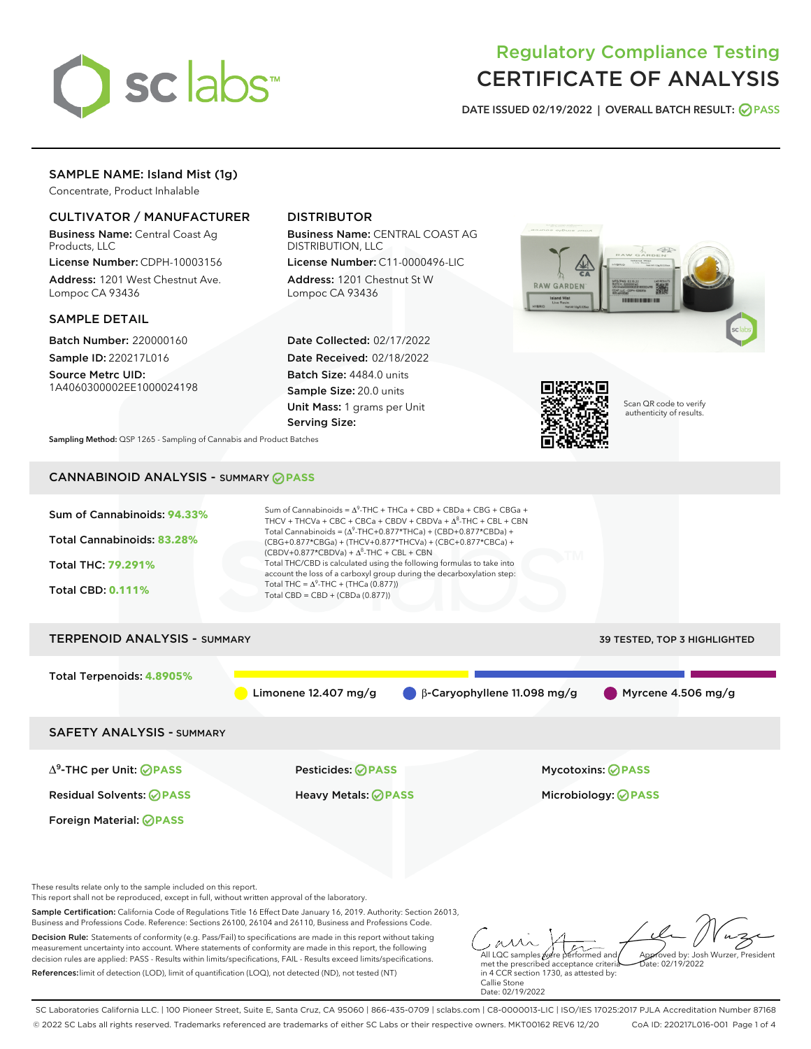

# Regulatory Compliance Testing CERTIFICATE OF ANALYSIS

DATE ISSUED 02/19/2022 | OVERALL BATCH RESULT: @ PASS

## SAMPLE NAME: Island Mist (1g)

Concentrate, Product Inhalable

## CULTIVATOR / MANUFACTURER

Business Name: Central Coast Ag Products, LLC

License Number: CDPH-10003156 Address: 1201 West Chestnut Ave. Lompoc CA 93436

#### SAMPLE DETAIL

Batch Number: 220000160 Sample ID: 220217L016

Source Metrc UID: 1A4060300002EE1000024198

## DISTRIBUTOR

Business Name: CENTRAL COAST AG DISTRIBUTION, LLC

License Number: C11-0000496-LIC Address: 1201 Chestnut St W Lompoc CA 93436

Date Collected: 02/17/2022 Date Received: 02/18/2022 Batch Size: 4484.0 units Sample Size: 20.0 units Unit Mass: 1 grams per Unit Serving Size:





Scan QR code to verify authenticity of results.

Sampling Method: QSP 1265 - Sampling of Cannabis and Product Batches

## CANNABINOID ANALYSIS - SUMMARY **PASS**



Sample Certification: California Code of Regulations Title 16 Effect Date January 16, 2019. Authority: Section 26013, Business and Professions Code. Reference: Sections 26100, 26104 and 26110, Business and Professions Code.

Decision Rule: Statements of conformity (e.g. Pass/Fail) to specifications are made in this report without taking measurement uncertainty into account. Where statements of conformity are made in this report, the following decision rules are applied: PASS - Results within limits/specifications, FAIL - Results exceed limits/specifications. References:limit of detection (LOD), limit of quantification (LOQ), not detected (ND), not tested (NT)

All LQC samples were performed and met the prescribed acceptance criteria Approved by: Josh Wurzer, President  $ate: 02/19/2022$ 

in 4 CCR section 1730, as attested by: Callie Stone Date: 02/19/2022

SC Laboratories California LLC. | 100 Pioneer Street, Suite E, Santa Cruz, CA 95060 | 866-435-0709 | sclabs.com | C8-0000013-LIC | ISO/IES 17025:2017 PJLA Accreditation Number 87168 © 2022 SC Labs all rights reserved. Trademarks referenced are trademarks of either SC Labs or their respective owners. MKT00162 REV6 12/20 CoA ID: 220217L016-001 Page 1 of 4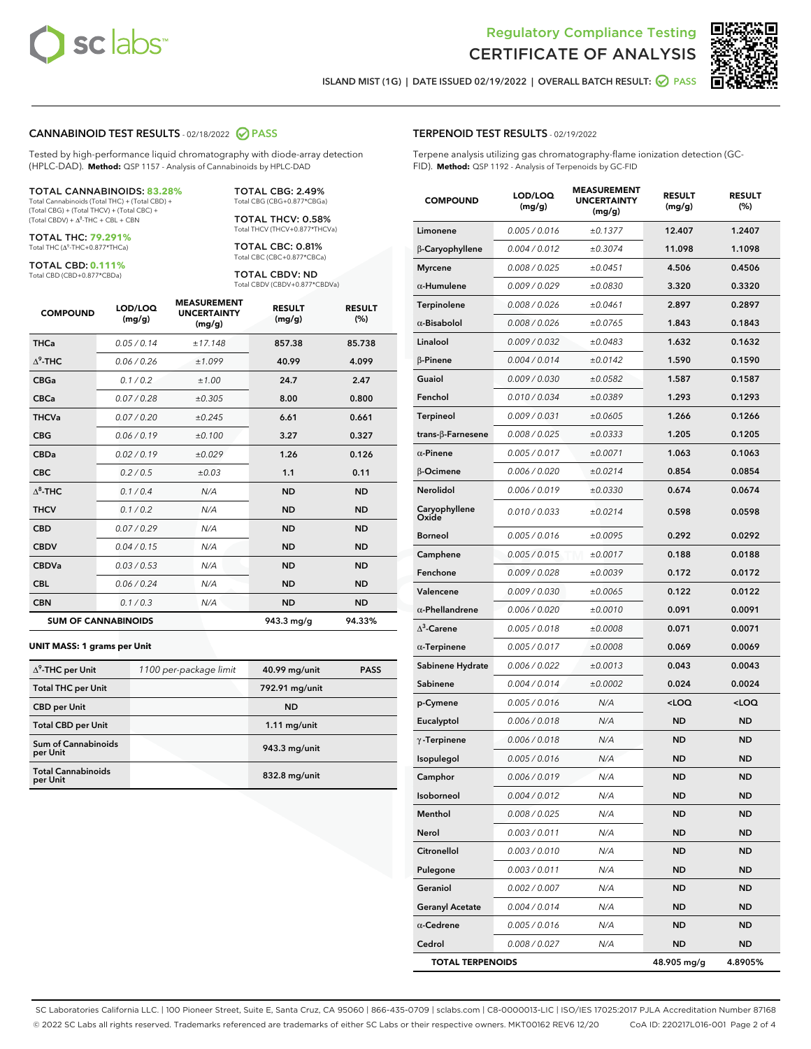



ISLAND MIST (1G) | DATE ISSUED 02/19/2022 | OVERALL BATCH RESULT: @ PASS

#### CANNABINOID TEST RESULTS - 02/18/2022 2 PASS

Tested by high-performance liquid chromatography with diode-array detection (HPLC-DAD). **Method:** QSP 1157 - Analysis of Cannabinoids by HPLC-DAD

#### TOTAL CANNABINOIDS: **83.28%**

Total Cannabinoids (Total THC) + (Total CBD) + (Total CBG) + (Total THCV) + (Total CBC) +  $(Total CBDV) +  $\Delta^8$ -THC + CBL + CBN$ 

TOTAL THC: **79.291%** Total THC (Δ<sup>9</sup>-THC+0.877\*THCa)

TOTAL CBD: **0.111%**

Total CBD (CBD+0.877\*CBDa)

TOTAL CBG: 2.49% Total CBG (CBG+0.877\*CBGa)

TOTAL THCV: 0.58% Total THCV (THCV+0.877\*THCVa)

TOTAL CBC: 0.81% Total CBC (CBC+0.877\*CBCa)

TOTAL CBDV: ND Total CBDV (CBDV+0.877\*CBDVa)

| <b>COMPOUND</b>  | LOD/LOQ<br>(mg/g)          | <b>MEASUREMENT</b><br><b>UNCERTAINTY</b><br>(mg/g) | <b>RESULT</b><br>(mg/g) | <b>RESULT</b><br>(%) |
|------------------|----------------------------|----------------------------------------------------|-------------------------|----------------------|
| <b>THCa</b>      | 0.05/0.14                  | ±17.148                                            | 857.38                  | 85.738               |
| $\Lambda^9$ -THC | 0.06 / 0.26                | ±1.099                                             | 40.99                   | 4.099                |
| <b>CBGa</b>      | 0.1 / 0.2                  | ±1.00                                              | 24.7                    | 2.47                 |
| <b>CBCa</b>      | 0.07 / 0.28                | ±0.305                                             | 8.00                    | 0.800                |
| <b>THCVa</b>     | 0.07 / 0.20                | ±0.245                                             | 6.61                    | 0.661                |
| <b>CBG</b>       | 0.06/0.19                  | ±0.100                                             | 3.27                    | 0.327                |
| <b>CBDa</b>      | 0.02/0.19                  | ±0.029                                             | 1.26                    | 0.126                |
| <b>CBC</b>       | 0.2 / 0.5                  | $\pm 0.03$                                         | 1.1                     | 0.11                 |
| $\Lambda^8$ -THC | 0.1 / 0.4                  | N/A                                                | <b>ND</b>               | <b>ND</b>            |
| <b>THCV</b>      | 0.1 / 0.2                  | N/A                                                | <b>ND</b>               | <b>ND</b>            |
| <b>CBD</b>       | 0.07/0.29                  | N/A                                                | <b>ND</b>               | <b>ND</b>            |
| <b>CBDV</b>      | 0.04 / 0.15                | N/A                                                | <b>ND</b>               | <b>ND</b>            |
| <b>CBDVa</b>     | 0.03 / 0.53                | N/A                                                | <b>ND</b>               | <b>ND</b>            |
| <b>CBL</b>       | 0.06 / 0.24                | N/A                                                | <b>ND</b>               | <b>ND</b>            |
| <b>CBN</b>       | 0.1/0.3                    | N/A                                                | <b>ND</b>               | <b>ND</b>            |
|                  | <b>SUM OF CANNABINOIDS</b> |                                                    | 943.3 mg/g              | 94.33%               |

#### **UNIT MASS: 1 grams per Unit**

| $\Delta^9$ -THC per Unit              | 1100 per-package limit | 40.99 mg/unit  | <b>PASS</b> |
|---------------------------------------|------------------------|----------------|-------------|
| <b>Total THC per Unit</b>             |                        | 792.91 mg/unit |             |
| <b>CBD</b> per Unit                   |                        | <b>ND</b>      |             |
| <b>Total CBD per Unit</b>             |                        | $1.11$ mg/unit |             |
| Sum of Cannabinoids<br>per Unit       |                        | 943.3 mg/unit  |             |
| <b>Total Cannabinoids</b><br>per Unit |                        | 832.8 mg/unit  |             |

| <b>COMPOUND</b>        | LOD/LOQ<br>(mg/g) | <b>MEASUREMENT</b><br>UNCERTAINTY<br>(mg/g) | <b>RESULT</b><br>(mg/g)                         | <b>RESULT</b><br>(%) |
|------------------------|-------------------|---------------------------------------------|-------------------------------------------------|----------------------|
| Limonene               | 0.005 / 0.016     | ±0.1377                                     | 12.407                                          | 1.2407               |
| β-Caryophyllene        | 0.004 / 0.012     | ±0.3074                                     | 11.098                                          | 1.1098               |
| <b>Myrcene</b>         | 0.008 / 0.025     | ±0.0451                                     | 4.506                                           | 0.4506               |
| $\alpha$ -Humulene     | 0.009/0.029       | ±0.0830                                     | 3.320                                           | 0.3320               |
| Terpinolene            | 0.008 / 0.026     | ±0.0461                                     | 2.897                                           | 0.2897               |
| $\alpha$ -Bisabolol    | 0.008 / 0.026     | ±0.0765                                     | 1.843                                           | 0.1843               |
| Linalool               | 0.009 / 0.032     | ±0.0483                                     | 1.632                                           | 0.1632               |
| $\beta$ -Pinene        | 0.004 / 0.014     | ±0.0142                                     | 1.590                                           | 0.1590               |
| Guaiol                 | 0.009 / 0.030     | ±0.0582                                     | 1.587                                           | 0.1587               |
| Fenchol                | 0.010 / 0.034     | ±0.0389                                     | 1.293                                           | 0.1293               |
| Terpineol              | 0.009 / 0.031     | ±0.0605                                     | 1.266                                           | 0.1266               |
| trans-β-Farnesene      | 0.008 / 0.025     | ±0.0333                                     | 1.205                                           | 0.1205               |
| $\alpha$ -Pinene       | 0.005 / 0.017     | ±0.0071                                     | 1.063                                           | 0.1063               |
| <b>B-Ocimene</b>       | 0.006 / 0.020     | ±0.0214                                     | 0.854                                           | 0.0854               |
| Nerolidol              | 0.006 / 0.019     | ±0.0330                                     | 0.674                                           | 0.0674               |
| Caryophyllene<br>Oxide | 0.010 / 0.033     | ±0.0214                                     | 0.598                                           | 0.0598               |
| <b>Borneol</b>         | 0.005 / 0.016     | ±0.0095                                     | 0.292                                           | 0.0292               |
| Camphene               | 0.005 / 0.015     | ±0.0017                                     | 0.188                                           | 0.0188               |
| Fenchone               | 0.009 / 0.028     | ±0.0039                                     | 0.172                                           | 0.0172               |
| Valencene              | 0.009 / 0.030     | ±0.0065                                     | 0.122                                           | 0.0122               |
| $\alpha$ -Phellandrene | 0.006 / 0.020     | ±0.0010                                     | 0.091                                           | 0.0091               |
| $\Delta^3$ -Carene     | 0.005 / 0.018     | ±0.0008                                     | 0.071                                           | 0.0071               |
| $\alpha$ -Terpinene    | 0.005 / 0.017     | ±0.0008                                     | 0.069                                           | 0.0069               |
| Sabinene Hydrate       | 0.006 / 0.022     | ±0.0013                                     | 0.043                                           | 0.0043               |
| Sabinene               | 0.004 / 0.014     | ±0.0002                                     | 0.024                                           | 0.0024               |
| p-Cymene               | 0.005 / 0.016     | N/A                                         | <loq< th=""><th><loq< th=""></loq<></th></loq<> | <loq< th=""></loq<>  |
| Eucalyptol             | 0.006 / 0.018     | N/A                                         | ND                                              | <b>ND</b>            |
| $\gamma$ -Terpinene    | 0.006 / 0.018     | N/A                                         | <b>ND</b>                                       | <b>ND</b>            |
| Isopulegol             | 0.005 / 0.016     | N/A                                         | <b>ND</b>                                       | <b>ND</b>            |
| Camphor                | 0.006 / 0.019     | N/A                                         | <b>ND</b>                                       | <b>ND</b>            |
| Isoborneol             | 0.004 / 0.012     | N/A                                         | ND                                              | ND                   |
| Menthol                | 0.008 / 0.025     | N/A                                         | <b>ND</b>                                       | <b>ND</b>            |
| Nerol                  | 0.003 / 0.011     | N/A                                         | <b>ND</b>                                       | <b>ND</b>            |
| Citronellol            | 0.003 / 0.010     | N/A                                         | ND                                              | <b>ND</b>            |
| Pulegone               | 0.003 / 0.011     | N/A                                         | ND                                              | ND                   |
| Geraniol               | 0.002 / 0.007     | N/A                                         | <b>ND</b>                                       | <b>ND</b>            |
| <b>Geranyl Acetate</b> | 0.004 / 0.014     | N/A                                         | <b>ND</b>                                       | <b>ND</b>            |

α-**Cedrene** 0.005/0.016 N/A ND ND Cedrol 0.008 / 0.027 N/A ND ND TOTAL TERPENOIDS 48.905 mg/g 4.8905%

SC Laboratories California LLC. | 100 Pioneer Street, Suite E, Santa Cruz, CA 95060 | 866-435-0709 | sclabs.com | C8-0000013-LIC | ISO/IES 17025:2017 PJLA Accreditation Number 87168 © 2022 SC Labs all rights reserved. Trademarks referenced are trademarks of either SC Labs or their respective owners. MKT00162 REV6 12/20 CoA ID: 220217L016-001 Page 2 of 4

## TERPENOID TEST RESULTS - 02/19/2022

Terpene analysis utilizing gas chromatography-flame ionization detection (GC-FID). **Method:** QSP 1192 - Analysis of Terpenoids by GC-FID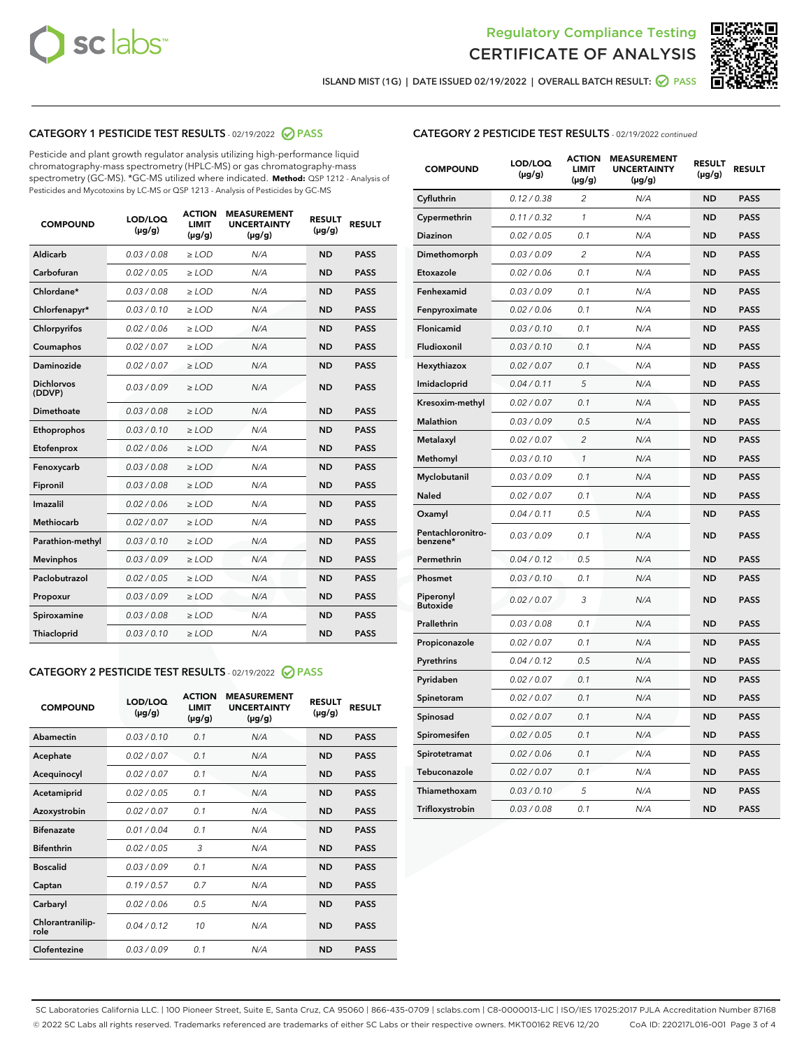



ISLAND MIST (1G) | DATE ISSUED 02/19/2022 | OVERALL BATCH RESULT: ● PASS

## CATEGORY 1 PESTICIDE TEST RESULTS - 02/19/2022 2 PASS

Pesticide and plant growth regulator analysis utilizing high-performance liquid chromatography-mass spectrometry (HPLC-MS) or gas chromatography-mass spectrometry (GC-MS). \*GC-MS utilized where indicated. **Method:** QSP 1212 - Analysis of Pesticides and Mycotoxins by LC-MS or QSP 1213 - Analysis of Pesticides by GC-MS

| <b>COMPOUND</b>             | LOD/LOQ<br>$(\mu g/g)$ | <b>ACTION</b><br><b>LIMIT</b><br>$(\mu g/g)$ | <b>MEASUREMENT</b><br><b>UNCERTAINTY</b><br>$(\mu g/g)$ | <b>RESULT</b><br>$(\mu g/g)$ | <b>RESULT</b> |
|-----------------------------|------------------------|----------------------------------------------|---------------------------------------------------------|------------------------------|---------------|
| Aldicarb                    | 0.03 / 0.08            | $\ge$ LOD                                    | N/A                                                     | <b>ND</b>                    | <b>PASS</b>   |
| Carbofuran                  | 0.02 / 0.05            | $>$ LOD                                      | N/A                                                     | <b>ND</b>                    | <b>PASS</b>   |
| Chlordane*                  | 0.03 / 0.08            | $\ge$ LOD                                    | N/A                                                     | <b>ND</b>                    | <b>PASS</b>   |
| Chlorfenapyr*               | 0.03/0.10              | $\ge$ LOD                                    | N/A                                                     | <b>ND</b>                    | <b>PASS</b>   |
| Chlorpyrifos                | 0.02/0.06              | $>$ LOD                                      | N/A                                                     | <b>ND</b>                    | <b>PASS</b>   |
| Coumaphos                   | 0.02 / 0.07            | $\ge$ LOD                                    | N/A                                                     | <b>ND</b>                    | <b>PASS</b>   |
| Daminozide                  | 0.02 / 0.07            | $\ge$ LOD                                    | N/A                                                     | <b>ND</b>                    | <b>PASS</b>   |
| <b>Dichlorvos</b><br>(DDVP) | 0.03/0.09              | $\ge$ LOD                                    | N/A                                                     | <b>ND</b>                    | <b>PASS</b>   |
| Dimethoate                  | 0.03 / 0.08            | $>$ LOD                                      | N/A                                                     | <b>ND</b>                    | <b>PASS</b>   |
| Ethoprophos                 | 0.03/0.10              | $>$ LOD                                      | N/A                                                     | <b>ND</b>                    | <b>PASS</b>   |
| Etofenprox                  | 0.02 / 0.06            | $\ge$ LOD                                    | N/A                                                     | <b>ND</b>                    | <b>PASS</b>   |
| Fenoxycarb                  | 0.03 / 0.08            | $\ge$ LOD                                    | N/A                                                     | <b>ND</b>                    | <b>PASS</b>   |
| Fipronil                    | 0.03 / 0.08            | $\ge$ LOD                                    | N/A                                                     | <b>ND</b>                    | <b>PASS</b>   |
| Imazalil                    | 0.02 / 0.06            | $\ge$ LOD                                    | N/A                                                     | <b>ND</b>                    | <b>PASS</b>   |
| <b>Methiocarb</b>           | 0.02 / 0.07            | $\ge$ LOD                                    | N/A                                                     | <b>ND</b>                    | <b>PASS</b>   |
| Parathion-methyl            | 0.03/0.10              | $>$ LOD                                      | N/A                                                     | <b>ND</b>                    | <b>PASS</b>   |
| <b>Mevinphos</b>            | 0.03/0.09              | $\ge$ LOD                                    | N/A                                                     | <b>ND</b>                    | <b>PASS</b>   |
| Paclobutrazol               | 0.02 / 0.05            | $\ge$ LOD                                    | N/A                                                     | <b>ND</b>                    | <b>PASS</b>   |
| Propoxur                    | 0.03/0.09              | $>$ LOD                                      | N/A                                                     | <b>ND</b>                    | <b>PASS</b>   |
| Spiroxamine                 | 0.03 / 0.08            | $\ge$ LOD                                    | N/A                                                     | <b>ND</b>                    | <b>PASS</b>   |
| Thiacloprid                 | 0.03/0.10              | $\ge$ LOD                                    | N/A                                                     | <b>ND</b>                    | <b>PASS</b>   |

### CATEGORY 2 PESTICIDE TEST RESULTS - 02/19/2022 @ PASS

| <b>COMPOUND</b>          | LOD/LOQ<br>$(\mu g/g)$ | <b>ACTION</b><br><b>LIMIT</b><br>$(\mu g/g)$ | <b>MEASUREMENT</b><br><b>UNCERTAINTY</b><br>$(\mu g/g)$ | <b>RESULT</b><br>$(\mu g/g)$ | <b>RESULT</b> |  |
|--------------------------|------------------------|----------------------------------------------|---------------------------------------------------------|------------------------------|---------------|--|
| Abamectin                | 0.03/0.10              | 0.1                                          | N/A                                                     | <b>ND</b>                    | <b>PASS</b>   |  |
| Acephate                 | 0.02/0.07              | 0.1                                          | N/A                                                     | <b>ND</b>                    | <b>PASS</b>   |  |
| Acequinocyl              | 0.02/0.07              | 0.1                                          | N/A                                                     | <b>ND</b>                    | <b>PASS</b>   |  |
| Acetamiprid              | 0.02/0.05              | 0.1                                          | N/A                                                     | <b>ND</b>                    | <b>PASS</b>   |  |
| Azoxystrobin             | 0.02/0.07              | 0.1                                          | N/A                                                     | <b>ND</b>                    | <b>PASS</b>   |  |
| <b>Bifenazate</b>        | 0.01/0.04              | 0.1                                          | N/A                                                     | <b>ND</b>                    | <b>PASS</b>   |  |
| <b>Bifenthrin</b>        | 0.02 / 0.05            | 3                                            | N/A                                                     | <b>ND</b>                    | <b>PASS</b>   |  |
| <b>Boscalid</b>          | 0.03/0.09              | 0.1                                          | N/A                                                     | <b>ND</b>                    | <b>PASS</b>   |  |
| Captan                   | 0.19/0.57              | 0.7                                          | N/A                                                     | <b>ND</b>                    | <b>PASS</b>   |  |
| Carbaryl                 | 0.02/0.06              | 0.5                                          | N/A                                                     | <b>ND</b>                    | <b>PASS</b>   |  |
| Chlorantranilip-<br>role | 0.04/0.12              | 10                                           | N/A                                                     | <b>ND</b>                    | <b>PASS</b>   |  |
| Clofentezine             | 0.03/0.09              | 0.1                                          | N/A                                                     | <b>ND</b>                    | <b>PASS</b>   |  |

#### CATEGORY 2 PESTICIDE TEST RESULTS - 02/19/2022 continued

| <b>COMPOUND</b>               | LOD/LOQ<br>(µg/g) | <b>ACTION</b><br><b>LIMIT</b><br>(µg/g) | <b>MEASUREMENT</b><br><b>UNCERTAINTY</b><br>(µg/g) | <b>RESULT</b><br>(µg/g) | <b>RESULT</b> |
|-------------------------------|-------------------|-----------------------------------------|----------------------------------------------------|-------------------------|---------------|
| Cyfluthrin                    | 0.12 / 0.38       | $\overline{c}$                          | N/A                                                | <b>ND</b>               | <b>PASS</b>   |
| Cypermethrin                  | 0.11 / 0.32       | 1                                       | N/A                                                | <b>ND</b>               | <b>PASS</b>   |
| <b>Diazinon</b>               | 0.02 / 0.05       | 0.1                                     | N/A                                                | <b>ND</b>               | <b>PASS</b>   |
| Dimethomorph                  | 0.03 / 0.09       | $\overline{2}$                          | N/A                                                | <b>ND</b>               | <b>PASS</b>   |
| Etoxazole                     | 0.02 / 0.06       | 0.1                                     | N/A                                                | <b>ND</b>               | <b>PASS</b>   |
| Fenhexamid                    | 0.03 / 0.09       | 0.1                                     | N/A                                                | <b>ND</b>               | <b>PASS</b>   |
| Fenpyroximate                 | 0.02 / 0.06       | 0.1                                     | N/A                                                | <b>ND</b>               | <b>PASS</b>   |
| Flonicamid                    | 0.03 / 0.10       | 0.1                                     | N/A                                                | <b>ND</b>               | <b>PASS</b>   |
| Fludioxonil                   | 0.03 / 0.10       | 0.1                                     | N/A                                                | <b>ND</b>               | <b>PASS</b>   |
| Hexythiazox                   | 0.02 / 0.07       | 0.1                                     | N/A                                                | <b>ND</b>               | <b>PASS</b>   |
| Imidacloprid                  | 0.04 / 0.11       | 5                                       | N/A                                                | <b>ND</b>               | <b>PASS</b>   |
| Kresoxim-methyl               | 0.02 / 0.07       | 0.1                                     | N/A                                                | <b>ND</b>               | <b>PASS</b>   |
| Malathion                     | 0.03 / 0.09       | 0.5                                     | N/A                                                | <b>ND</b>               | <b>PASS</b>   |
| Metalaxyl                     | 0.02 / 0.07       | $\overline{c}$                          | N/A                                                | <b>ND</b>               | <b>PASS</b>   |
| Methomyl                      | 0.03 / 0.10       | 1                                       | N/A                                                | <b>ND</b>               | <b>PASS</b>   |
| Myclobutanil                  | 0.03 / 0.09       | 0.1                                     | N/A                                                | <b>ND</b>               | <b>PASS</b>   |
| Naled                         | 0.02 / 0.07       | 0.1                                     | N/A                                                | <b>ND</b>               | <b>PASS</b>   |
| Oxamyl                        | 0.04 / 0.11       | 0.5                                     | N/A                                                | ND                      | <b>PASS</b>   |
| Pentachloronitro-<br>benzene* | 0.03 / 0.09       | 0.1                                     | N/A                                                | <b>ND</b>               | <b>PASS</b>   |
| Permethrin                    | 0.04/0.12         | 0.5                                     | N/A                                                | <b>ND</b>               | <b>PASS</b>   |
| Phosmet                       | 0.03 / 0.10       | 0.1                                     | N/A                                                | <b>ND</b>               | <b>PASS</b>   |
| Piperonyl<br><b>Butoxide</b>  | 0.02 / 0.07       | 3                                       | N/A                                                | <b>ND</b>               | <b>PASS</b>   |
| Prallethrin                   | 0.03 / 0.08       | 0.1                                     | N/A                                                | <b>ND</b>               | <b>PASS</b>   |
| Propiconazole                 | 0.02 / 0.07       | 0.1                                     | N/A                                                | <b>ND</b>               | <b>PASS</b>   |
| Pyrethrins                    | 0.04 / 0.12       | 0.5                                     | N/A                                                | <b>ND</b>               | <b>PASS</b>   |
| Pyridaben                     | 0.02 / 0.07       | 0.1                                     | N/A                                                | <b>ND</b>               | <b>PASS</b>   |
| Spinetoram                    | 0.02 / 0.07       | 0.1                                     | N/A                                                | <b>ND</b>               | <b>PASS</b>   |
| Spinosad                      | 0.02 / 0.07       | 0.1                                     | N/A                                                | <b>ND</b>               | <b>PASS</b>   |
| Spiromesifen                  | 0.02 / 0.05       | 0.1                                     | N/A                                                | <b>ND</b>               | <b>PASS</b>   |
| Spirotetramat                 | 0.02 / 0.06       | 0.1                                     | N/A                                                | <b>ND</b>               | <b>PASS</b>   |
| Tebuconazole                  | 0.02 / 0.07       | 0.1                                     | N/A                                                | <b>ND</b>               | <b>PASS</b>   |
| Thiamethoxam                  | 0.03 / 0.10       | 5                                       | N/A                                                | <b>ND</b>               | <b>PASS</b>   |
| Trifloxystrobin               | 0.03 / 0.08       | 0.1                                     | N/A                                                | <b>ND</b>               | <b>PASS</b>   |

SC Laboratories California LLC. | 100 Pioneer Street, Suite E, Santa Cruz, CA 95060 | 866-435-0709 | sclabs.com | C8-0000013-LIC | ISO/IES 17025:2017 PJLA Accreditation Number 87168 © 2022 SC Labs all rights reserved. Trademarks referenced are trademarks of either SC Labs or their respective owners. MKT00162 REV6 12/20 CoA ID: 220217L016-001 Page 3 of 4